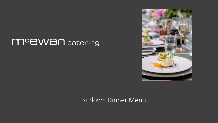# meewan catering



## Sitdown Dinner Menu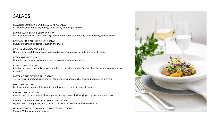### SALADS

ROASTED SQUASH AND CARAMELIZED APPLE SALAD with endive, butter lettuce, pomegranate syrup, champagne dressing

CLASSIC CAESAR SALAD MCEWAN'S OWN McEwan house-made Caesar dressing, house-made garlic croutons and shaved Parmigiana Reggiano

BABY ARUGULA AND PROSCIUTTO SALAD Shaved Manchego, balsamic reduction and frisee

CITRUS AND AVOCADO SALAD Orange, grapefruit, baby arugula, frisee, radicchio, crisp prosciutto and citrus lime dressing

PEAR AND ENDIVE SALAD Crumbled Gorgonzola, hydroponic watercress and raspberry vinaigrette

CLASSIC WEDGE SALAD Roasted hazelnut, chopped egg, wild boar bacon, sundried tomato, Quebec blue cheese and green goddess dressing

BABY KALE AND RIESLING APPLE SALAD Treviso, pickled beet, whipped chèvre, blonde frisee, pumpernickel crisp and poppy seed dressing

GREEK BEET SALAD Beet, cucumber, tomato, feta, candied sunflower seed, garlic oregano dressing

CHARRED BROCCOLI SALAD Charred broccoli, roasted cauliflower puree, pomegranate, shallots, ginger, hydroponic watercress

CHARRED ORANGE AND BUFFALO MOZZARELLA SALAD Nigella seed, pomegranate, mint, Serrano chili, smoked Maldon and lemon olive oil

HEIRLOOM TOMATOES AND BUFFALO MOZZARELLA SALAD Smoked Maldon and lemon olive oil

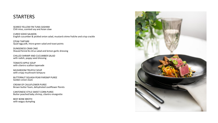#### **STARTERS**

SEARED YELLOW FIN TUNA SASHIMI Chili miso, scented soy and Asian slaw

CURED SOHO SALMON English cucumber & pickled onion salad, mustard crème fraîche and crisp crackle

STEAK TARTARE Quail egg yolk, micro green salad and toast points

DUNGENESS CRAB CAKE Shaved fennel & citrus salad and lemon garlic dressing

CHILLED SHRIMP AND CUCUMBER SALAD with radish, poppy seed dressing

TOMATO APPLE SOUP with cilantro scallion tapenade

MUSHROOM TRUFFLE SOUP with crispy mushroom tempura

BUTTERNUT SQUASH PEAR PARSNIP PUREE Golden onion stack

CREAM OF CAULIFLOWER PUREE Brown butter foam, dehydrated cauliflower florets

CANTONESE STYLE SWEET CORN PUREE Butter poached baby shrimp, cilantro vinaigrette

BEEF BONE BROTH with wagyu dumpling

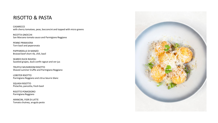### RISOTTO & PASTA

CASARECCE

with cherry tomatoes, peas, bocconcini and topped with micro greens

RICOTTA GNOCCHI San Marzano tomato sauce and Parmigiano Reggiano

PENNE PRIMAVERA Torn basil and peperonata

PAPPARDELLE DI MANZO Braised beef short rib, chili, basil

SEARED DUCK RAVIOLI Sautéed grapes, duck confit ragout and ver-jus

TRUFFLE MUSHROOM RISOTTO Shaved summer truffle and Parmigiano Reggiano

LOBSTER RISOTTO Parmigiano Reggiano and citrus beurre blanc

SQUASH RISOTTO Pistachio, pancetta, fresh basil

RISOTTO POMODORO Parmigiana Reggiano

ARANCINI, FIOR DI LATTE Tomato chutney, arugula pesto

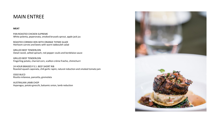#### MAIN ENTREE

#### **MEAT**

PAN ROASTED CHICKEN SUPREME White polenta, peperonata, smoked brussels sprout, apple jack jus

ROASTED CORNISH HEN WITH ORANGE THYME GLAZE Heirloom carrots and beets with warm tabbouleh salad

GRILLED BEEF TENDERLOIN Oxtail ravioli, wilted spinach, red pepper coulis and bordelaise sauce

GRILLED BEEF TENDERLOIN Fingerling potato, charred corn, scallion crème fraiche, chimichurri

24 HOUR BRAISED P.E.I. BEEF SHORT RIB Roasted squash caponata, chili garlic rapini, natural reduction and smoked tomato jam

OSSO BUCO Risotto milanese, pancetta, gremolata

AUSTRALIAN LAMB CHOP Asparagus, potato gnocchi, balsamic onion, lamb reduction

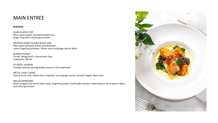### MAIN ENTREE

#### **SEAFOOD**

ASIAN GLAZED COD Miso sweet potato, fermented black rice, ginger broccolini, lemon grass broth

SAFFRON HONEY GLAZED BLACK COD Marinated artichoke, butter poached leek, sumac fingerling potatoes, Shirazi salsa and ginger beurre blanc

SEARED HALIBUT Turnip, beluga lentil, charred bok choy, vichyssoise, dill oil

ATLANTIC SALMON Pumpkin quinoa, pomegranate, preserve olive tapenade

ARCTIC CHAR 2 WAYS Seared Arctic char, salted char croquette, carrot ginger puree, toasted fregola, black olive

GRILLED BRANZINO Warm arugula and French bean salad, fingerling potato, confit baby tomato, rocket lettuce, citrus beurre blanc and citrus gremolata

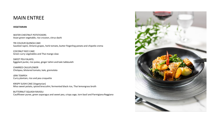#### MAIN ENTREE

#### **VEGETARIAN**

WATER CHESTNUT POTSTICKERS Asian green vegetable, rice crouton, citrus dashi

TRI COLOUR QUINOA CAKE Sautéed rapini, Ontario grapes, herb tomato, butter fingerling potato and chipotle crema

COCONUT RICE CAKE Green curry vegetables and Thai mango slaw

SWEET PEA FALAFEL Eggplant purée, rice pulao, ginger tahini and kale tabbouleh

CHARRED CAULIFLOWER Chickpea, blistered tomato, kale, gremolata

JERK TEMPEH Curry plantain, rice and pea croquette

KRISPY SUSHI CAKE (Vegetarian) Miso sweet potato, spiced broccolini, fermented black rice, Thai lemongrass broth

BUTTERNUT SQUASH RAVIOLI Cauliflower puree, green asparagus and sweet pea, crispy sage, torn basil and Parmigiana Reggiano

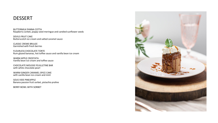#### DESSERT

BUTTERMILK PANNA COTTA Raspberry sorbet, poppy seed meringue and candied sunflower seeds

DEVILS FRUIT CAKE Butterscotch ice cream and salted caramel sauce

CLASSIC CREME BRULEE Garnished with fresh berries

FLOURLESS CHOCOLATE TORTE Rum glazed bananas, hot toffee sauce and vanilla bean ice cream

WARM APPLE CROSTATA Vanilla bean ice cream and toffee sauce

CHOCOLATE MOUSSE FEUILLETINE BAR with white chocolate pearl

WARM GINGER CARAMEL SPICE CAKE with vanilla bean ice-cream and mint

SOUS VIDE PINEAPPLE Banana passion fruit sorbet, pistachio praline

BERRY BOWL WITH SORBET

![](_page_7_Picture_10.jpeg)